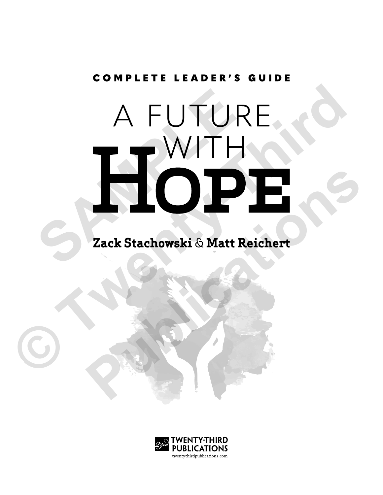#### **COMPLETE LEADER'S GUIDE**

# A FUTURE<br> **SAMPLE 2008**<br>
SAMPLE 2008<br>
SACREAD PERSONALLY RELATED PERSONAL RELATION A FUTURE **PUOPE**

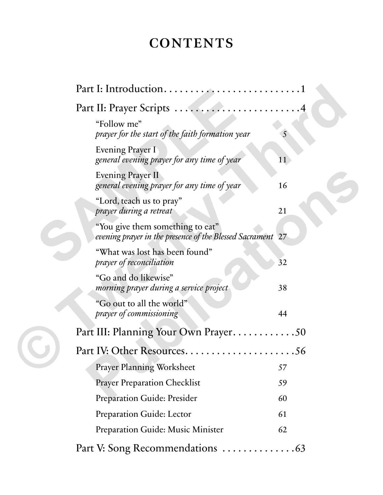# **CONTENTS**

|                         | Part I: Introduction                                                                           |    |  |  |  |
|-------------------------|------------------------------------------------------------------------------------------------|----|--|--|--|
| Part II: Prayer Scripts |                                                                                                |    |  |  |  |
|                         | "Follow me"<br>prayer for the start of the faith formation year                                |    |  |  |  |
|                         | <b>Evening Prayer I</b><br>general evening prayer for any time of year                         | 11 |  |  |  |
|                         | <b>Evening Prayer II</b><br>general evening prayer for any time of year                        | 16 |  |  |  |
|                         | "Lord, teach us to pray"<br>prayer during a retreat                                            | 21 |  |  |  |
|                         | "You give them something to eat"<br>evening prayer in the presence of the Blessed Sacrament 27 |    |  |  |  |
|                         | "What was lost has been found"<br>prayer of reconciliation                                     | 32 |  |  |  |
|                         | "Go and do likewise"<br>morning prayer during a service project                                | 38 |  |  |  |
|                         | "Go out to all the world"<br>prayer of commissioning                                           | 44 |  |  |  |
|                         | Part III: Planning Your Own Prayer50                                                           |    |  |  |  |
|                         | Part IV: Other Resources56                                                                     |    |  |  |  |
|                         | Prayer Planning Worksheet                                                                      | 57 |  |  |  |
|                         | <b>Prayer Preparation Checklist</b>                                                            | 59 |  |  |  |
|                         | Preparation Guide: Presider                                                                    | 60 |  |  |  |
|                         | <b>Preparation Guide: Lector</b>                                                               | 61 |  |  |  |
|                         | Preparation Guide: Music Minister                                                              | 62 |  |  |  |
|                         |                                                                                                |    |  |  |  |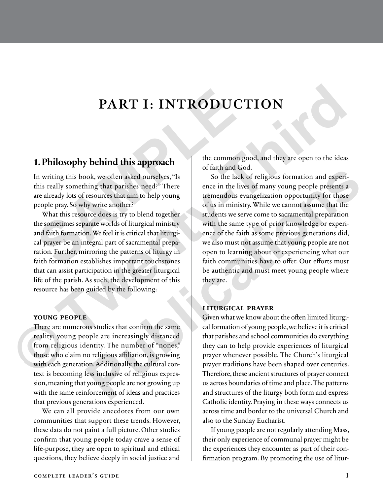# **PART I: INTRODUCTION**

#### **1. Philosophy behind this approach**

In writing this book, we often asked ourselves, "Is this really something that parishes need?" There are already lots of resources that aim to help young people pray. So why write another?

What this resource does is try to blend together the sometimes separate worlds of liturgical ministry and faith formation. We feel it is critical that liturgical prayer be an integral part of sacramental preparation. Further, mirroring the patterns of liturgy in faith formation establishes important touchstones that can assist participation in the greater liturgical life of the parish. As such, the development of this resource has been guided by the following: **PART I: INTRODUCT**<br> **1. Philosophy behind this approach**<br>
In writing this book, we often asked ourselves, "Is<br>
the common good faith and God.<br>
In writing this book, we often asked ourselves, "Is<br>
are already loss of resou

#### Young People

There are numerous studies that confirm the same reality: young people are increasingly distanced from religious identity. The number of "nones," those who claim no religious affiliation, is growing with each generation. Additionally, the cultural context is becoming less inclusive of religious expression, meaning that young people are not growing up with the same reinforcement of ideas and practices that previous generations experienced.

We can all provide anecdotes from our own communities that support these trends. However, these data do not paint a full picture. Other studies confirm that young people today crave a sense of life-purpose, they are open to spiritual and ethical questions, they believe deeply in social justice and

the common good, and they are open to the ideas of faith and God.

So the lack of religious formation and experience in the lives of many young people presents a tremendous evangelization opportunity for those of us in ministry. While we cannot assume that the students we serve come to sacramental preparation with the same type of prior knowledge or experience of the faith as some previous generations did, we also must not assume that young people are not open to learning about or experiencing what our faith communities have to offer. Our efforts must be authentic and must meet young people where they are. **PART I: INTRODUCTION**<br> **EXERCISE TRIM**<br> **PART I: INTRODUCTION**<br> **EXERCISE TRIM**<br> **EXERCISE TRIM**<br> **EXERCISE TRIM**<br> **EXERCISE TRIM**<br> **EXERCISE TRIM**<br> **EXERCISE TRIM**<br> **EXERCISE TRIME AND SOMETER CONSUMPLY TRIME TRIMAL AND** or and the policies,<sup>47</sup> so that and tool.<br>
So the lack of religious formation and experi-<br>
ing that parishes need? There<br>
ence in the lives of many young people presents a<br>
responses that an to help young<br>
in the lives of

#### Liturgical Prayer

Given what we know about the often limited liturgical formation of young people, we believe it is critical that parishes and school communities do everything they can to help provide experiences of liturgical prayer whenever possible. The Church's liturgical prayer traditions have been shaped over centuries. Therefore, these ancient structures of prayer connect us across boundaries of time and place. The patterns and structures of the liturgy both form and express Catholic identity. Praying in these ways connects us across time and border to the universal Church and also to the Sunday Eucharist.

If young people are not regularly attending Mass, their only experience of communal prayer might be the experiences they encounter as part of their confirmation program. By promoting the use of litur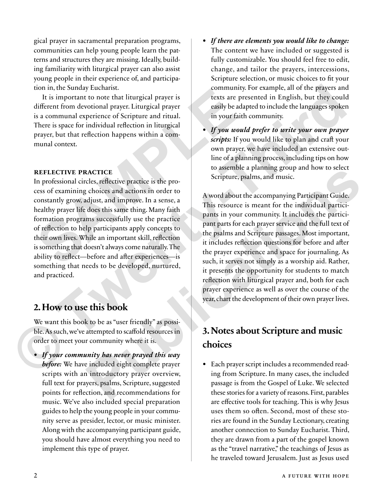gical prayer in sacramental preparation programs, communities can help young people learn the patterns and structures they are missing. Ideally, building familiarity with liturgical prayer can also assist young people in their experience of, and participation in, the Sunday Eucharist.

It is important to note that liturgical prayer is different from devotional prayer. Liturgical prayer is a communal experience of Scripture and ritual. There is space for individual reflection in liturgical prayer, but that reflection happens within a communal context.

#### Reflective Practice

In professional circles, reflective practice is the process of examining choices and actions in order to constantly grow, adjust, and improve. In a sense, a healthy prayer life does this same thing. Many faith formation programs successfully use the practice of reflection to help participants apply concepts to their own lives. While an important skill, reflection is something that doesn't always come naturally. The ability to reflect—before and after experiences—is something that needs to be developed, nurtured, and practiced. The simportant to note that liturgical prayer is<br>
lifferent from devotional prayer. Liturgical prayer<br>
is a communal experience of Scripture and ritual.<br>
There is space for individual reflection in liturgical<br>
prayer, but

#### **2. How to use this book**

We want this book to be as "user friendly" as possible. As such, we've attempted to scaffold resources in order to meet your community where it is.

• *If your community has never prayed this way before:* We have included eight complete prayer scripts with an introductory prayer overview, full text for prayers, psalms, Scripture, suggested points for reflection, and recommendations for music. We've also included special preparation guides to help the young people in your community serve as presider, lector, or music minister. Along with the accompanying participant guide, you should have almost everything you need to implement this type of prayer.

- *If there are elements you would like to change:* The content we have included or suggested is fully customizable. You should feel free to edit, change, and tailor the prayers, intercessions, Scripture selection, or music choices to fit your community. For example, all of the prayers and texts are presented in English, but they could easily be adapted to include the languages spoken in your faith community.
- *If you would prefer to write your own prayer scripts:* If you would like to plan and craft your own prayer, we have included an extensive outline of a planning process, including tips on how to assemble a planning group and how to select Scripture, psalms, and music.

A word about the accompanying Participant Guide. This resource is meant for the individual participants in your community. It includes the participant parts for each prayer service and the full text of the psalms and Scripture passages. Most important, it includes reflection questions for before and after the prayer experience and space for journaling. As such, it serves not simply as a worship aid. Rather, it presents the opportunity for students to match reflection with liturgical prayer and, both for each prayer experience as well as over the course of the year, chart the development of their own prayer lives. (in in, the Sunday Rucharist.<br>
The is apply and the principal properties<br>
different from devotional properties<br>
different from devotional properties<br>
is a communal experience of Scripture and dirad.<br>
There is space for in **Example 19**<br> **Publicative procedure a planuming propagation and the section of the set of the set of the set of the set of the set of the set of the set of the set of the set of the set of the set of the set of the set of** 

## **3. Notes about Scripture and music choices**

• Each prayer script includes a recommended reading from Scripture. In many cases, the included passage is from the Gospel of Luke. We selected these stories for a variety of reasons. First, parables are effective tools for teaching. This is why Jesus uses them so often. Second, most of these stories are found in the Sunday Lectionary, creating another connection to Sunday Eucharist. Third, they are drawn from a part of the gospel known as the "travel narrative," the teachings of Jesus as he traveled toward Jerusalem. Just as Jesus used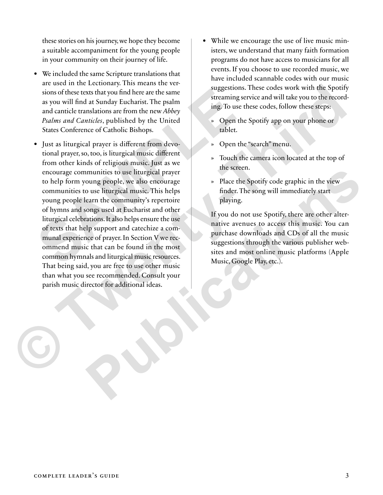these stories on his journey, we hope they become a suitable accompaniment for the young people in your community on their journey of life.

- We included the same Scripture translations that are used in the Lectionary. This means the versions of these texts that you find here are the same as you will find at Sunday Eucharist. The psalm and canticle translations are from the new *Abbey Psalms and Canticles*, published by the United States Conference of Catholic Bishops.
- Just as liturgical prayer is different from devotional prayer, so, too, is liturgical music different from other kinds of religious music. Just as we encourage communities to use liturgical prayer to help form young people, we also encourage communities to use liturgical music. This helps young people learn the community's repertoire of hymns and songs used at Eucharist and other liturgical celebrations. It also helps ensure the use of texts that help support and catechize a communal experience of prayer. In Section V we recommend music that can be found in the most common hymnals and liturgical music resources. That being said, you are free to use other music than what you see recommended. Consult your parish music director for additional ideas. Soms of these texts that you find here are the same<br>
as you will find at Sunday Eucharist. The psalm<br>
and canticle translations are from the new *Abbey*<br> **Psalms and Canticles,** published by the United<br>
States Conference o are associated to the solution of the state of the state of the state and the state and the control of the state and cantrical control of the state of the state of the state of the state of the state of the state contener munities to use liturgical prayer<br>
oute liturgical music. This helps<br>
oute liturgical music. This helps<br>
frace: the Spotify code graphic in the view<br>
end cateriority's repertoire<br>
playing.<br>
and at Eucharist and other<br>
at a
- While we encourage the use of live music ministers, we understand that many faith formation programs do not have access to musicians for all events. If you choose to use recorded music, we have included scannable codes with our music suggestions. These codes work with the Spotify streaming service and will take you to the recording. To use these codes, follow these steps:
	- » Open the Spotify app on your phone or tablet.
	- » Open the "search" menu.
	- » Touch the camera icon located at the top of the screen.
	- » Place the Spotify code graphic in the view finder. The song will immediately start playing.

If you do not use Spotify, there are other alternative avenues to access this music. You can purchase downloads and CDs of all the music suggestions through the various publisher websites and most online music platforms (Apple Music, Google Play, etc.).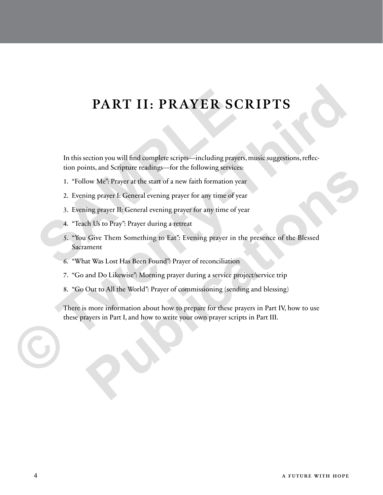# **PART II: PRAYER SCRIPTS**

In this section you will find complete scripts—including prayers, music suggestions, reflection points, and Scripture readings—for the following services: **PART II: PRAYER SCR**<br>
In this section you will find complete scripts—including prayers, n<br>
tion points, and Scripture readings—for the following services:<br>
1. "Follow Me": Prayer at the start of a new faith formation year **PART II: PRAYER SCRIPTS**<br>
In this section you will find complex excipts—including paypes, music suggestions, reflection points, and Scriptions (and the complex scripts—including paypes, music suggestions, reflections, and

- 1. "Follow Me": Prayer at the start of a new faith formation year
- 2. Evening prayer I: General evening prayer for any time of year
- 3. Evening prayer II: General evening prayer for any time of year
- 4. "Teach Us to Pray": Prayer during a retreat
- 5. "You Give Them Something to Eat": Evening prayer in the presence of the Blessed Sacrament **Publication**<br> **Publication Scheme Control**<br> **Publication Scheme Controlling Scheme Scheme Scheme Scheme Scheme Scheme Scheme Scheme Scheme Scheme Scheme Scheme Scheme Scheme Scheme Scheme Scheme Scheme Scheme Scheme Schem**
- 6. "What Was Lost Has Been Found": Prayer of reconciliation
- 7. "Go and Do Likewise": Morning prayer during a service project/service trip
- 8. "Go Out to All the World": Prayer of commissioning (sending and blessing)

There is more information about how to prepare for these prayers in Part IV, how to use these prayers in Part I, and how to write your own prayer scripts in Part III.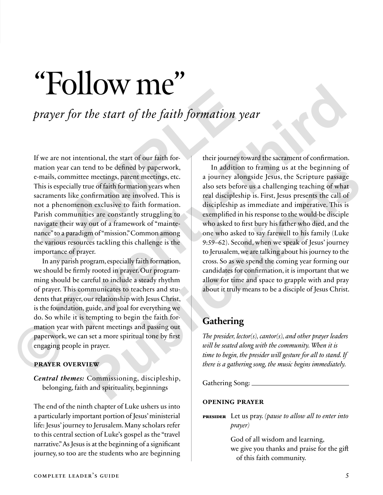# "Follow me"

*prayer for the start of the faith formation year*

If we are not intentional, the start of our faith formation year can tend to be defined by paperwork, e-mails, committee meetings, parent meetings, etc. This is especially true of faith formation years when sacraments like confirmation are involved. This is not a phenomenon exclusive to faith formation. Parish communities are constantly struggling to navigate their way out of a framework of "maintenance" to a paradigm of "mission." Common among the various resources tackling this challenge is the importance of prayer. **SAMPLE** 

In any parish program, especially faith formation, we should be firmly rooted in prayer. Our programming should be careful to include a steady rhythm of prayer. This communicates to teachers and students that prayer, our relationship with Jesus Christ, is the foundation, guide, and goal for everything we do. So while it is tempting to begin the faith formation year with parent meetings and passing out paperwork, we can set a more spiritual tone by first engaging people in prayer.

#### Prayer Overview

*Central themes:* Commissioning, discipleship, belonging, faith and spirituality, beginnings

The end of the ninth chapter of Luke ushers us into a particularly important portion of Jesus' ministerial life: Jesus' journey to Jerusalem. Many scholars refer to this central section of Luke's gospel as the "travel narrative." As Jesus is at the beginning of a significant journey, so too are the students who are beginning their journey toward the sacrament of confirmation.

In addition to framing us at the beginning of a journey alongside Jesus, the Scripture passage also sets before us a challenging teaching of what real discipleship is. First, Jesus presents the call of discipleship as immediate and imperative. This is exemplified in his response to the would-be disciple who asked to first bury his father who died, and the one who asked to say farewell to his family (Luke 9:59–62). Second, when we speak of Jesus' journey to Jerusalem, we are talking about his journey to the cross. So as we spend the coming year forming our candidates for confirmation, it is important that we allow for time and space to grapple with and pray about it truly means to be a disciple of Jesus Christ. **PLACE SET ASSOCIATE:**<br>
Frayer for the start of the faith formation year<br>
twe are not intentional, the start of the faith formation year<br>
twenty-on-<br>
their power of the faith of the start of the start of the film of the c End to denoted by paperwork, the acadiom of training us at une beginning to the ending spectral of the president properties, a journey alongside Jesus, the Scripture passage<br>true of faith formation rearnings, etc.<br>a journe

#### **Gathering**

*The presider, lector(s), cantor(s), and other prayer leaders will be seated along with the community. When it is time to begin, the presider will gesture for all to stand. If there is a gathering song, the music begins immediately.*

Gathering Song:

#### Opening prayer

**presider** Let us pray. *(pause to allow all to enter into prayer)*

> God of all wisdom and learning, we give you thanks and praise for the gift of this faith community.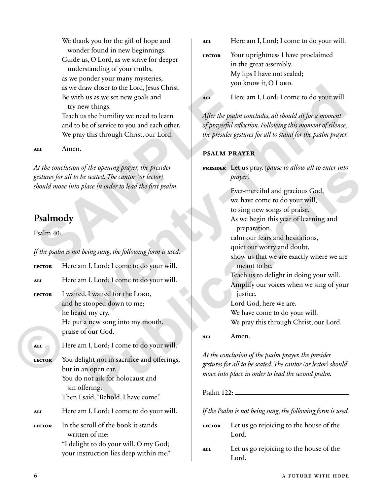We thank you for the gift of hope and wonder found in new beginnings. Guide us, O Lord, as we strive for deeper understanding of your truths, as we ponder your many mysteries, as we draw closer to the Lord, Jesus Christ. Be with us as we set new goals and try new things. Teach us the humility we need to learn

#### **all** Amen.

#### **Psalmody**

#### *If the psalm is not being sung, the following form is used.*

|               | as we draw closer to the Lord, Jesus Christ.                |               | you Kilow It, O LOND.                                                                                              |
|---------------|-------------------------------------------------------------|---------------|--------------------------------------------------------------------------------------------------------------------|
|               | Be with us as we set new goals and                          | <b>ALL</b>    | Here am I, Lord; I come to do your will.                                                                           |
|               | try new things.                                             |               |                                                                                                                    |
|               | Teach us the humility we need to learn                      |               | After the psalm concludes, all should sit for a moment                                                             |
|               | and to be of service to you and each other.                 |               | of prayerful reflection. Following this moment of silence,                                                         |
|               | We pray this through Christ, our Lord.                      |               | the presider gestures for all to stand for the psalm prayer.                                                       |
| <b>ALL</b>    | Amen.                                                       |               | <b>PSALM PRAYER</b>                                                                                                |
|               | At the conclusion of the opening prayer, the presider       |               | <b>PRESIDER</b> Let us pray. (pause to allow all to enter into                                                     |
|               | gestures for all to be seated. The cantor (or lector)       |               | prayer)                                                                                                            |
|               | should move into place in order to lead the first psalm.    |               |                                                                                                                    |
|               |                                                             |               | Ever-merciful and gracious God,                                                                                    |
|               |                                                             |               | we have come to do your will,                                                                                      |
|               |                                                             |               | to sing new songs of praise.                                                                                       |
|               | Psalmody<br>Psalm 40:                                       |               | As we begin this year of learning and<br>preparation,                                                              |
|               |                                                             |               | calm our fears and hesitations,                                                                                    |
|               | If the psalm is not being sung, the following form is used. |               | quiet our worry and doubt,                                                                                         |
|               |                                                             |               | show us that we are exactly where we are                                                                           |
| <b>LECTOR</b> | Here am I, Lord; I come to do your will.                    |               | meant to be.                                                                                                       |
|               | Here am I, Lord; I come to do your will.                    |               | Teach us to delight in doing your will.                                                                            |
| <b>ALL</b>    |                                                             |               | Amplify our voices when we sing of your                                                                            |
| <b>LECTOR</b> | I waited, I waited for the LORD,                            |               | justice.                                                                                                           |
|               | and he stooped down to me;                                  |               | Lord God, here we are.                                                                                             |
|               | he heard my cry.                                            |               | We have come to do your will.                                                                                      |
|               | He put a new song into my mouth,                            |               | We pray this through Christ, our Lord.                                                                             |
|               | praise of our God.                                          |               | Amen.                                                                                                              |
|               | Here am I, Lord; I come to do your will.                    | <b>ALL</b>    |                                                                                                                    |
| <b>ALL</b>    |                                                             |               | At the conclusion of the psalm prayer, the presider                                                                |
| <b>LECTOR</b> | You delight not in sacrifice and offerings,                 |               |                                                                                                                    |
|               | but in an open ear.                                         |               | gestures for all to be seated. The cantor (or lector) should<br>move into place in order to lead the second psalm. |
|               | You do not ask for holocaust and                            |               |                                                                                                                    |
|               | sin offering.                                               |               |                                                                                                                    |
|               | Then I said, "Behold, I have come."                         |               |                                                                                                                    |
| <b>ALL</b>    | Here am I, Lord; I come to do your will.                    |               | If the Psalm is not being sung, the following form is used.                                                        |
| <b>LECTOR</b> | In the scroll of the book it stands                         | <b>LECTOR</b> | Let us go rejoicing to the house of the                                                                            |
|               | written of me:                                              |               | Lord.                                                                                                              |
|               | "I delight to do your will, O my God;                       |               | Let us go rejoicing to the house of the                                                                            |
|               | your instruction lies deep within me."                      | <b>ALL</b>    | Lord.                                                                                                              |

- ALL Here am I, Lord; I come to do your will.
- **LECTOR** Your uprightness I have proclaimed in the great assembly. My lips I have not sealed; you know it, O Lord.
- **ALL** Here am I, Lord; I come to do your will.

#### Psalm prayer

- **LECTOR** Let us go rejoicing to the house of the Lord.
- **all** Let us go rejoicing to the house of the Lord.

**presider** Let us pray. *(pause to allow all to enter into prayer)*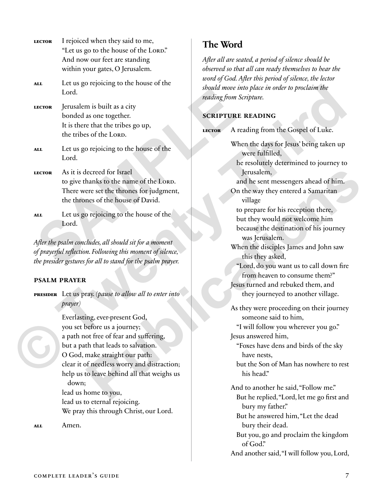|                                                            | And now our feet are standing<br>within your gates, O Jerusalem.                    | After all are seated, a period of silence should be<br>observed so that all can ready themselves to hear the<br>word of God. After this period of silence, the lector<br>should move into place in order to proclaim the<br>reading from Scripture. |                                                                             |
|------------------------------------------------------------|-------------------------------------------------------------------------------------|-----------------------------------------------------------------------------------------------------------------------------------------------------------------------------------------------------------------------------------------------------|-----------------------------------------------------------------------------|
| <b>ALL</b>                                                 | Let us go rejoicing to the house of the<br>Lord.                                    |                                                                                                                                                                                                                                                     |                                                                             |
| <b>LECTOR</b>                                              | Jerusalem is built as a city<br>bonded as one together.                             | <b>SCRIPTURE READING</b>                                                                                                                                                                                                                            |                                                                             |
|                                                            | It is there that the tribes go up,<br>the tribes of the LORD.                       | <b>LECTOR</b>                                                                                                                                                                                                                                       | A reading from the Gospel of Luke.                                          |
| <b>ALL</b>                                                 | Let us go rejoicing to the house of the<br>Lord.                                    |                                                                                                                                                                                                                                                     | When the days for Jesus' being taken up<br>were fulfilled,                  |
|                                                            |                                                                                     |                                                                                                                                                                                                                                                     | he resolutely determined to journey to                                      |
| <b>LECTOR</b>                                              | As it is decreed for Israel                                                         |                                                                                                                                                                                                                                                     | Jerusalem,                                                                  |
|                                                            | to give thanks to the name of the LORD.<br>There were set the thrones for judgment, |                                                                                                                                                                                                                                                     | and he sent messengers ahead of him.<br>On the way they entered a Samaritan |
|                                                            | the thrones of the house of David.                                                  |                                                                                                                                                                                                                                                     | village                                                                     |
| <b>ALL</b>                                                 | Let us go rejoicing to the house of the<br>Lord.                                    |                                                                                                                                                                                                                                                     | to prepare for his reception there,                                         |
|                                                            |                                                                                     |                                                                                                                                                                                                                                                     | but they would not welcome him                                              |
|                                                            |                                                                                     |                                                                                                                                                                                                                                                     | because the destination of his journey                                      |
|                                                            | After the psalm concludes, all should sit for a moment                              |                                                                                                                                                                                                                                                     | was Jerusalem.                                                              |
| of prayerful reflection. Following this moment of silence, |                                                                                     |                                                                                                                                                                                                                                                     | When the disciples James and John saw                                       |
|                                                            | the presider gestures for all to stand for the psalm prayer.                        |                                                                                                                                                                                                                                                     | this they asked,                                                            |
|                                                            |                                                                                     |                                                                                                                                                                                                                                                     | "Lord, do you want us to call down fire<br>from heaven to consume them?"    |
|                                                            | <b>PSALM PRAYER</b>                                                                 |                                                                                                                                                                                                                                                     | Jesus turned and rebuked them, and                                          |
|                                                            | <b>PRESIDER</b> Let us pray. (pause to allow all to enter into                      |                                                                                                                                                                                                                                                     | they journeyed to another village.                                          |
|                                                            | prayer)                                                                             |                                                                                                                                                                                                                                                     | As they were proceeding on their journey                                    |
|                                                            | Everlasting, ever-present God,                                                      |                                                                                                                                                                                                                                                     | someone said to him,                                                        |
|                                                            | you set before us a journey;                                                        |                                                                                                                                                                                                                                                     | "I will follow you wherever you go."                                        |
|                                                            | a path not free of fear and suffering,                                              |                                                                                                                                                                                                                                                     | Jesus answered him,                                                         |
|                                                            | but a path that leads to salvation.                                                 |                                                                                                                                                                                                                                                     | "Foxes have dens and birds of the sky                                       |
|                                                            | O God, make straight our path:                                                      |                                                                                                                                                                                                                                                     | have nests,                                                                 |
|                                                            | clear it of needless worry and distraction;                                         |                                                                                                                                                                                                                                                     | but the Son of Man has nowhere to rest                                      |
|                                                            | help us to leave behind all that weighs us                                          |                                                                                                                                                                                                                                                     | his head."                                                                  |
|                                                            | down;                                                                               |                                                                                                                                                                                                                                                     | And to another he said, "Follow me."                                        |
|                                                            | lead us home to you,                                                                |                                                                                                                                                                                                                                                     | But he replied, "Lord, let me go first and                                  |

**LECTOR** I rejoiced when they said to me,

"Let us go to the house of the Lord."



Everlasting, ever-present God, you set before us a journey; a path not free of fear and suffering, but a path that leads to salvation. O God, make straight our path: clear it of needless worry and distraction; help us to leave behind all that weighs us down; lead us home to you, lead us to eternal rejoicing. We pray this through Christ, our Lord.

**all** Amen.

### **The Word**

#### Scripture reading

And to another he said, "Follow me." But he replied, "Lord, let me go first and bury my father."

But he answered him, "Let the dead bury their dead.

But you, go and proclaim the kingdom of God."

And another said, "I will follow you, Lord,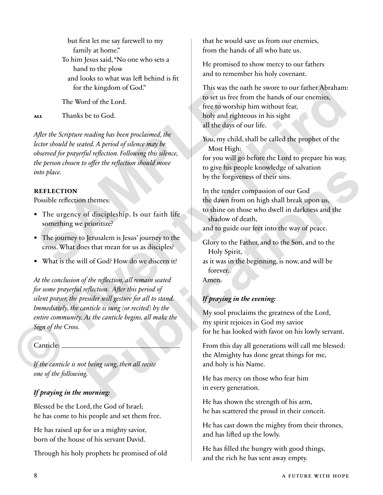but first let me say farewell to my family at home." To him Jesus said, "No one who sets a hand to the plow and looks to what was left behind is fit for the kingdom of God."

The Word of the Lord.

**all** Thanks be to God.

*After the Scripture reading has been proclaimed, the lector should be seated. A period of silence may be observed for prayerful reflection. Following this silence, the person chosen to offer the reflection should move into place.* The Word of the Lord.<br>
The Word of the Lord.<br>
Thanks be to God.<br>
Thanks be to God.<br>
<br>
After the Scripture reading has been proclaimed, the<br>
lettor should be seated. A period of silence any be<br>
beheaved for prayerful reflec

#### **REFLECTION**

Possible reflection themes:

- The urgency of discipleship. Is our faith life something we prioritize?
- The journey to Jerusalem is Jesus' journey to the cross. What does that mean for us as disciples?
- What is the will of God? How do we discern it?

*At the conclusion of the reflection, all remain seated for some prayerful reflection. After this period of silent prayer, the presider will gesture for all to stand. Immediately, the canticle is sung (or recited) by the entire community. As the canticle begins, all make the Sign of the Cross.* For the kingdom of God?<br>
This was the contract abstract to set us free from the hands of our crements,<br>
The Word of the Lord,<br>
The same of the local difference in the script of the control of the control<br>
Ager the Scriptur **Publication Solution** and the section of the section of the section of the set of the set of the set of the set of the set of the set of the set of the set of the set of the set of the set of the set of the set of the set

#### Canticle:

*If the canticle is not being sung, then all recite one of the following.*

#### *If praying in the morning:*

Blessed be the Lord, the God of Israel; he has come to his people and set them free.

He has raised up for us a mighty savior, born of the house of his servant David.

Through his holy prophets he promised of old

that he would save us from our enemies, from the hands of all who hate us.

He promised to show mercy to our fathers and to remember his holy covenant.

This was the oath he swore to our father Abraham: to set us free from the hands of our enemies, free to worship him without fear, holy and righteous in his sight all the days of our life.

You, my child, shall be called the prophet of the Most High:

for you will go before the Lord to prepare his way, to give his people knowledge of salvation by the forgiveness of their sins.

In the tender compassion of our God the dawn from on high shall break upon us, to shine on those who dwell in darkness and the shadow of death,

and to guide our feet into the way of peace.

Glory to the Father, and to the Son, and to the Holy Spirit,

as it was in the beginning, is now, and will be forever.

Amen.

#### *If praying in the evening:*

My soul proclaims the greatness of the Lord, my spirit rejoices in God my savior for he has looked with favor on his lowly servant.

From this day all generations will call me blessed: the Almighty has done great things for me, and holy is his Name.

He has mercy on those who fear him in every generation.

He has shown the strength of his arm, he has scattered the proud in their conceit.

He has cast down the mighty from their thrones, and has lifted up the lowly.

He has filled the hungry with good things, and the rich he has sent away empty.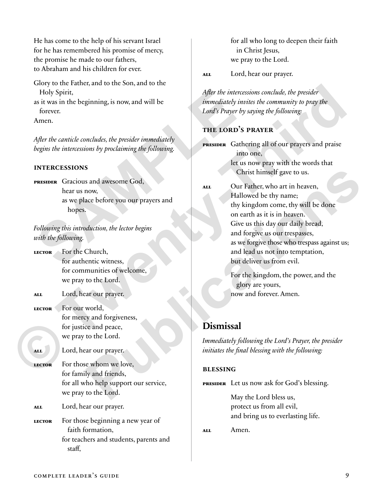He has come to the help of his servant Israel for he has remembered his promise of mercy, the promise he made to our fathers, to Abraham and his children for ever.

Glory to the Father, and to the Son, and to the Holy Spirit,

as it was in the beginning, is now, and will be forever.

Amen.

*After the canticle concludes, the presider immediately begins the intercessions by proclaiming the following.* 

#### **INTERCESSIONS**

**PRESIDER** Gracious and awesome God, hear us now, as we place before you our prayers and hopes. **Solution**<br>
Solution in the beginning, is now, and will be<br>
forever.<br>
After the intercessi<br>
forever.<br>
Amen.<br>
After the cantricle concludes, the presider immediately<br>  $\begin{array}{ccc}\n\text{Affer the intersects} & \text{immediately} & \text{number}\n\\
\text{Lord's Player by so} & \text{number}\n\\
\text{L$ 

*Following this introduction, the lector begins with the following.*

- **lector** For the Church, for authentic witness, for communities of welcome, we pray to the Lord.
- **all** Lord, hear our prayer.
- **LECTOR** For our world, for mercy and forgiveness, for justice and peace, we pray to the Lord.
- **ALL** Lord, hear our prayer.
- **LECTOR** For those whom we love, for family and friends, for all who help support our service, we pray to the Lord.

**all** Lord, hear our prayer.

**lector** For those beginning a new year of faith formation, for teachers and students, parents and staff,

for all who long to deepen their faith in Christ Jesus, we pray to the Lord.

**all** Lord, hear our prayer.

*After the intercessions conclude, the presider immediately invites the community to pray the Lord's Prayer by saying the following:*

#### The Lord's Prayer

- **presider** Gathering all of our prayers and praise into one, let us now pray with the words that Christ himself gave to us.
- **ALL** Our Father, who art in heaven, Hallowed be thy name; thy kingdom come, thy will be done on earth as it is in heaven. Give us this day our daily bread, and forgive us our trespasses, as we forgive those who trespass against us; and lead us not into temptation, but deliver us from evil. For the beginning is now, and will be<br>
I loby Spirit,<br>
as it was in the beginning, is now, and will be<br>
for the interestions conclude, the presider<br>
for the interestion concludes the position of the Land Christ history by **Publication**<br> **Publication**<br> **PUBLICATE AND STATE AND STATE AND STATE AND STATE AND STATE AND SONCE AND A SURFAMELY AND SURFAMELY AND SURFAMELY AND SURFAMELY AND SURFAMELY AND SURFAMELY AND SURFAMELY AND SURFAMELY UNDER A** 
	- For the kingdom, the power, and the glory are yours, now and forever. Amen.

#### **Dismissal**

*Immediately following the Lord's Prayer, the presider initiates the final blessing with the following:*

#### **BLESSING**

**presider** Let us now ask for God's blessing.

May the Lord bless us, protect us from all evil, and bring us to everlasting life.

**all** Amen.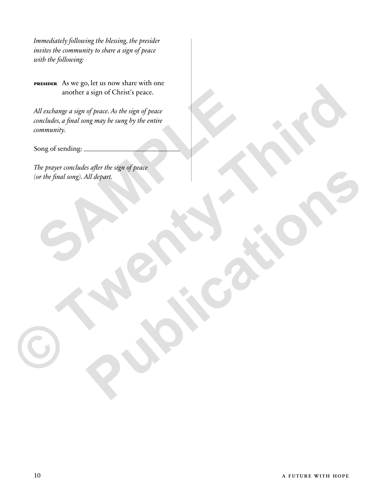*Immediately following the blessing, the presider invites the community to share a sign of peace with the following:*

**PRESIDER** As we go, let us now share with one another a sign of Christ's peace.

*All exchange a sign of peace. As the sign of peace concludes, a final song may be sung by the entire community.* another a sign of Christ's peace.<br>All exchange a sign of peace. As the sign of peace<br>concludes, a final song may be sung by the entire<br>community.<br>Song of sending:<br>The prayer concludes after the sign of peace<br>(or the final All cutokange a yign of pouce. As the sign of Christies peace.<br>
All cutokange a yign of pouce. As the sign of pouce<br>
community.<br>
Song of screding.<br>
Nong of screding.<br>
Nong of screding.<br>
Nong of screding.<br>
On the final temp

Song of sending:

*The prayer concludes after the sign of peace (or the final song). All depart.* **Publications**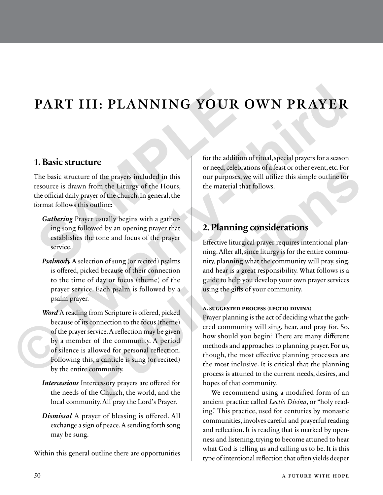# **PART III: PLANNING YOUR OWN PRAYER**

#### **1. Basic structure**

The basic structure of the prayers included in this resource is drawn from the Liturgy of the Hours, the official daily prayer of the church. In general, the format follows this outline: **PART III: PLANNING YOUR C**<br> **1. Basic structure**<br>
The basic structure of the prayers included in this<br>
The basic structure of the prayers included in this<br>
resource is drawn from the Liturgy of the Hours,<br>
the official da

- *Gathering* Prayer usually begins with a gathering song followed by an opening prayer that establishes the tone and focus of the prayer service.
- *Psalmody* A selection of sung (or recited) psalms is offered, picked because of their connection to the time of day or focus (theme) of the prayer service. Each psalm is followed by a psalm prayer.
- *Word* A reading from Scripture is offered, picked because of its connection to the focus (theme) of the prayer service. A reflection may be given by a member of the community. A period of silence is allowed for personal reflection. Following this, a canticle is sung (or recited) by the entire community.
- *Intercessions* Intercessory prayers are offered for the needs of the Church, the world, and the local community. All pray the Lord's Prayer.
- *Dismissal* A prayer of blessing is offered. All exchange a sign of peace. A sending forth song may be sung.

Within this general outline there are opportunities

for the addition of ritual, special prayers for a season or need, celebrations of a feast or other event, etc. For our purposes, we will utilize this simple outline for the material that follows.

#### **2. Planning considerations**

Effective liturgical prayer requires intentional planning. After all, since liturgy is for the entire community, planning what the community will pray, sing, and hear is a great responsibility. What follows is a guide to help you develop your own prayer services using the gifts of your community.

#### **A. Suggested process (Lectio Divina)**

Prayer planning is the act of deciding what the gathered community will sing, hear, and pray for. So, how should you begin? There are many different methods and approaches to planning prayer. For us, though, the most effective planning processes are the most inclusive. It is critical that the planning process is attuned to the current needs, desires, and hopes of that community. **PART III: PLANNING YOUR OWN PRAYER**<br> **L. Basic structure**<br> **The basic structure**<br>
The basic structure<br>
The basic structure<br>
The basic structure<br>
The basic structure<br>
The basic structure<br>
The basic structure<br>
The basic st **Publication** of the prayers included in this our purposes, we will utilize this simple outline for from the Liturgy of the Hours, and our purposes, we will utilize this simple outline for from the Liturgy of the Hours, th

We recommend using a modified form of an ancient practice called *Lectio Divina*, or "holy reading." This practice, used for centuries by monastic communities, involves careful and prayerful reading and reflection. It is reading that is marked by openness and listening, trying to become attuned to hear what God is telling us and calling us to be. It is this type of intentional reflection that often yields deeper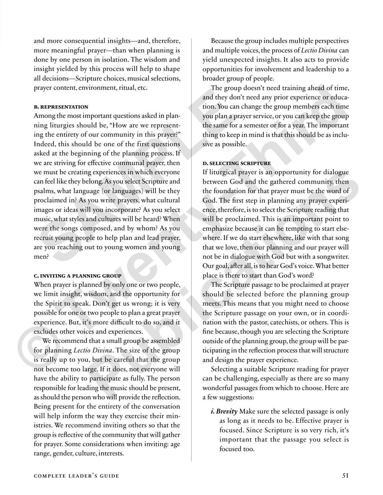and more consequential insights—and, therefore, more meaningful prayer—than when planning is done by one person in isolation. The wisdom and insight yielded by this process will help to shape all decisions—Scripture choices, musical selections, prayer content, environment, ritual, etc.

#### **B. Representation**

Among the most important questions asked in planning liturgies should be, "How are we representing the entirety of our community in this prayer?" Indeed, this should be one of the first questions asked at the beginning of the planning process. If we are striving for effective communal prayer, then we must be creating experiences in which everyone can feel like they belong. As you select Scripture and psalms, what language (or languages) will be they proclaimed in? As you write prayers, what cultural images or ideas will you incorporate? As you select music, what styles and cultures will be heard? When were the songs composed, and by whom? As you recruit young people to help plan and lead prayer, are you reaching out to young women and young men? **SEPRESENTATION**<br> **SEPRESENTATION**<br> **SEPRESENTATION**<br> **SEPRESENTATION**<br> **SEPRESENTATION**<br> **SEPRESENTATION**<br> **SAMPLE PRODUCE AND AND AND SUMPLE AND SUMPLE THE SUMPLE CONDITION<br>
<b>SEPRESENTATION**<br> **SEPRESENTATION**<br> **SEPRESENT** prayer content, environment, ritual, etc.<br> **EVALUATION** and they don't need any prior experience or educa-<br> **A mong the most important questions axies and they don't need any prior experience or educa-<br>
<b>A mong the most im** 

#### **C. Inviting a planning group**

When prayer is planned by only one or two people, we limit insight, wisdom, and the opportunity for the Spirit to speak. Don't get us wrong; it is very possible for one or two people to plan a great prayer experience. But, it's more difficult to do so, and it excludes other voices and experiences.

We recommend that a small group be assembled for planning *Lectio Divina*. The size of the group is really up to you, but be careful that the group not become too large. If it does, not everyone will have the ability to participate as fully. The person responsible for leading the music should be present, as should the person who will provide the reflection. Being present for the entirety of the conversation will help inform the way they exercise their ministries. We recommend inviting others so that the group is reflective of the community that will gather for prayer. Some considerations when inviting: age range, gender, culture, interests.

Because the group includes multiple perspectives and multiple voices, the process of *Lectio Divina* can yield unexpected insights. It also acts to provide opportunities for involvement and leadership to a broader group of people.

The group doesn't need training ahead of time, and they don't need any prior experience or education. You can change the group members each time you plan a prayer service, or you can keep the group the same for a semester or for a year. The important thing to keep in mind is that this should be as inclusive as possible.

#### **D. Selecting Scripture**

If liturgical prayer is an opportunity for dialogue between God and the gathered community, then the foundation for that prayer must be the word of God. The first step in planning any prayer experience, therefore, is to select the Scripture reading that will be proclaimed. This is an important point to emphasize because it can be tempting to start elsewhere. If we do start elsewhere, like with that song that we love, then our planning and our prayer will not be in dialogue with God but with a songwriter. Our goal, after all, is to hear God's voice. What better place is there to start than God's word? **By experiences in which everyone**<br> **Experiences** of a languages) will be cheven God and the gashed community, then<br>
tuage (or languages) will be cheven God and the gashed community, then<br>
usage (or languages) will be they

The Scripture passage to be proclaimed at prayer should be selected before the planning group meets. This means that you might need to choose the Scripture passage on your own, or in coordination with the pastor, catechists, or others. This is fine because, though you are selecting the Scripture outside of the planning group, the group will be participating in the reflection process that will structure and design the prayer experience.

Selecting a suitable Scripture reading for prayer can be challenging, especially as there are so many wonderful passages from which to choose. Here are a few suggestions:

*i. Brevity* Make sure the selected passage is only as long as it needs to be. Effective prayer is focused. Since Scripture is so very rich, it's important that the passage you select is focused too.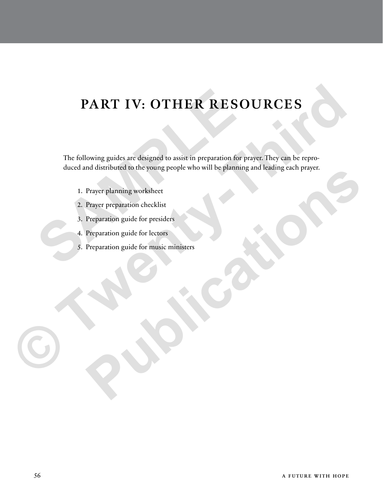# **PART IV: OTHER RESOURCES**

The following guides are designed to assist in preparation for prayer. They can be reproduced and distributed to the young people who will be planning and leading each prayer. **PART IV: OTHER RESO**<br>The following guides are designed to assist in preparation for praduced and distributed to the young people who will be planning<br>1. Prayer planning worksheet<br>2. Prayer preparation checklist<br>3. Prepara **PART IV: OTHER RESOURCES**<br>
The following guides are designed to assist in preparation for prayer. They can be reproduced and distributed to the young people who will be planning and leading each payer.<br>
1. Prayer reparati Prayer planning worksheet<br>Prayer planning worksheet<br>Prayer preparation checklist<br>Preparation guide for presiders<br>Preparation guide for music ministers<br>Preparation guide for music ministers

- 1. Prayer planning worksheet
- 2. Prayer preparation checklist
- 3. Preparation guide for presiders
- 4. Preparation guide for lectors
- 5. Preparation guide for music ministers